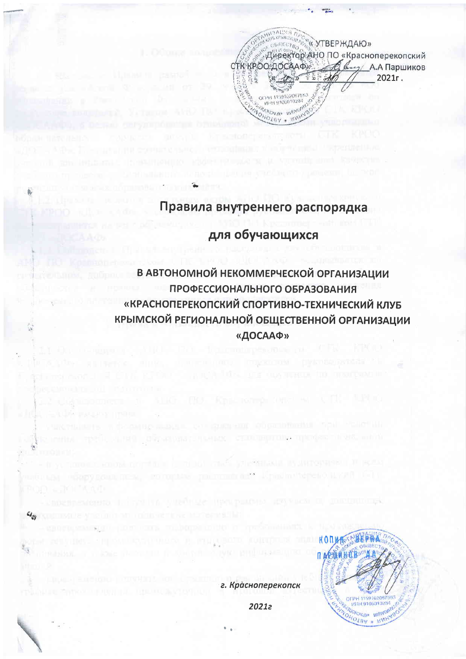**SENTING ALLINE OF COMPANY AND INC.** Директор АНО ПО «Красноперекопский СТККРООДОСДАФ ДА вид А.А Паршиков きょ スク **Res** 2021г. ER OTHER TISSUO DETENTS OHOTELY & RAHVAGE

## Правила внутреннего распорядка

для обучающихся

В АВТОНОМНОЙ НЕКОММЕРЧЕСКОЙ ОРГАНИЗАЦИИ ПРОФЕССИОНАЛЬНОГО ОБРАЗОВАНИЯ «КРАСНОПЕРЕКОПСКИЙ СПОРТИВНО-ТЕХНИЧЕСКИЙ КЛУБ КРЫМСКОЙ РЕГИОНАЛЬНОЙ ОБЩЕСТВЕННОЙ ОРГАНИЗАЦИИ «ДОСААФ»

CLOUDING THEORETH 215, minds

**TRANTLEADER IN JUSTICIPE OF LIT** 



г. Красноперекопск

THE RELEASED VIOLENCE RINGERS (ICE

ski se northe i no montras"

**Particularly and the control A CREATE STATISTIC** 

20212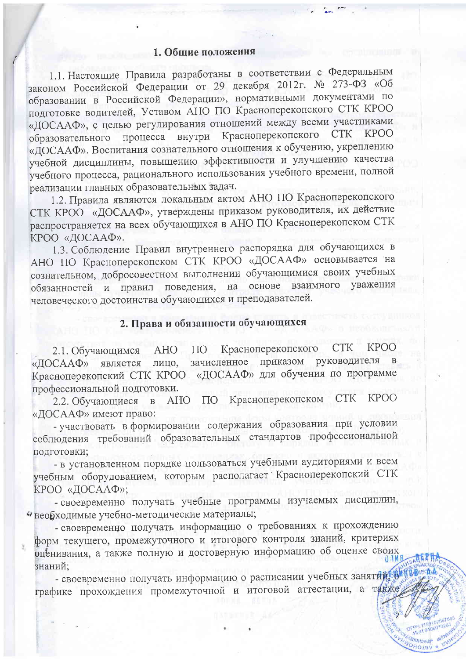1.1. Настоящие Правила разработаны в соответствии с Федеральным законом Российской Федерации от 29 декабря 2012г. № 273-ФЗ «Об образовании в Российской Федерации», нормативными документами по подготовке водителей, Уставом АНО ПО Красноперекопского СТК КРОО «ДОСААФ», с целью регулирования отношений между всеми участниками процесса внутри Красноперекопского **CTK KPOO** образовательного «ДОСААФ». Воспитания сознательного отношения к обучению, укреплению учебной дисциплины, повышению эффективности и улучшению качества учебного процесса, рационального использования учебного времени, полной реализации главных образовательных задач.

1.2. Правила являются локальным актом АНО ПО Красноперекопского СТК КРОО «ДОСААФ», утверждены приказом руководителя, их действие распространяется на всех обучающихся в АНО ПО Красноперекопском СТК КРОО «ДОСААФ».

1.3. Соблюдение Правил внутреннего распорядка для обучающихся в АНО ПО Красноперекопском СТК КРОО «ДОСААФ» основывается на сознательном, добросовестном выполнении обучающимися своих учебных обязанностей и правил поведения, на основе уважения взаимного человеческого достоинства обучающихся и преподавателей.

### 2. Права и обязанности обучающихся

Красноперекопского **CTK KPOO** 2.1. Обучающимся **AHO**  $\overline{110}$ зачисленное приказом «ДОСААФ» является руководителя лицо, «ДОСААФ» для обучения по программе Красноперекопский СТК КРОО профессиональной подготовки.

Красноперекопском **CTK KPOO** 2.2. Обучающиеся  $\overline{B}$ **AHO**  $\Pi$ O «ДОСААФ» имеют право:

- участвовать в формировании содержания образования при условии соблюдения требований образовательных стандартов профессиональной подготовки;

- в установленном порядке пользоваться учебными аудиториями и всем учебным оборудованием, которым располагает Красноперекопский СТК КРОО «ДОСААФ»;

- своевременно получать учебные программы изучаемых дисциплин, • необходимые учебно-методические материалы;

- своевременно получать информацию о требованиях к прохождению форм текущего, промежуточного и итогового контроля знаний, критериях форм текущего, проводуто пото и постора.<br>Оценивания, а также полную и достоверную информацию об оценке своих знаний;

- своевременно получать информацию о расписании учебных занятиновые да графике прохождения промежуточной и итоговой аттестации, а также

HOIBY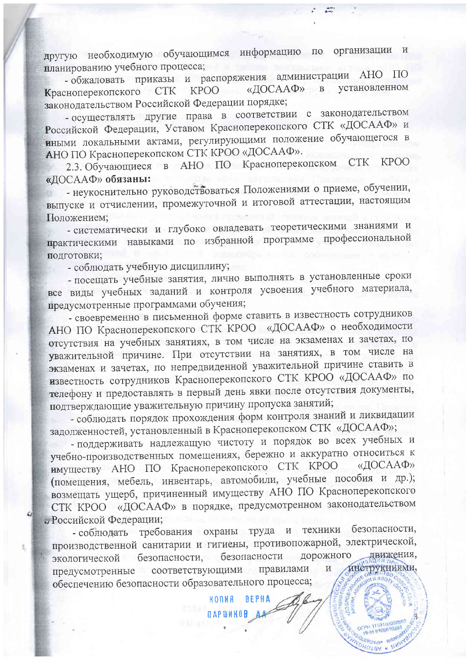другую необходимую обучающимся информацию по организации  $\overline{M}$ планированию учебного процесса;

- обжаловать приказы и распоряжения администрации АНО ПО установленном «ДОСААФ» в **Красноперекопского** СТК **KPOO** законодательством Российской Федерации порядке;

- осуществлять другие права в соответствии с законодательством Российской Федерации, Уставом Красноперекопского СТК «ДОСААФ» и иными локальными актами, регулирующими положение обучающегося в АНО ПО Красноперекопском СТК КРОО «ДОСААФ».

2.3. Обучающиеся в АНО ПО Красноперекопском CTK **KPOO** «ДОСААФ» обязаны:

- неукоснительно руководствоваться Положениями о приеме, обучении, выпуске и отчислении, промежуточной и итоговой аттестации, настоящим Положением;

- систематически и глубоко овладевать теоретическими знаниями и практическими навыками по избранной программе профессиональной подготовки;

- соблюдать учебную дисциплину;

- посещать учебные занятия, лично выполнять в установленные сроки все виды учебных заданий и контроля усвоения учебного материала, предусмотренные программами обучения;

- своевременно в письменной форме ставить в известность сотрудников АНО ПО Красноперекопского СТК КРОО «ДОСААФ» о необходимости отсутствия на учебных занятиях, в том числе на экзаменах и зачетах, по уважительной причине. При отсутствии на занятиях, в том числе на экзаменах и зачетах, по непредвиденной уважительной причине ставить в известность сотрудников Красноперекопского СТК КРОО «ДОСААФ» по телефону и предоставлять в первый день явки после отсутствия документы, подтверждающие уважительную причину пропуска занятий;

- соблюдать порядок прохождения форм контроля знаний и ликвидации задолженностей, установленный в Красноперекопском СТК «ДОСААФ»;

- поддерживать надлежащую чистоту и порядок во всех учебных и учебно-производственных помещениях, бережно и аккуратно относиться к имуществу АНО ПО Красноперекопского СТК КРОО «ДОСААФ» (помещения, мебель, инвентарь, автомобили, учебные пособия и др.); возмещать ущерб, причиненный имуществу АНО ПО Красноперекопского СТК КРОО «ДОСААФ» в порядке, предусмотренном законодательством и Российской Федерации;

требования охраны труда и техники безопасности, - соблюдать производственной санитарии и гигиены, противопожарной, электрической, движения. безопасности дорожного безопасности, экологической инструкциями, соответствующими правилами  $\overline{\mathbf{M}}$ предусмотренные обеспечению безопасности образовательного процесса;

> KONNA **BEPHA**

> > OJSW \*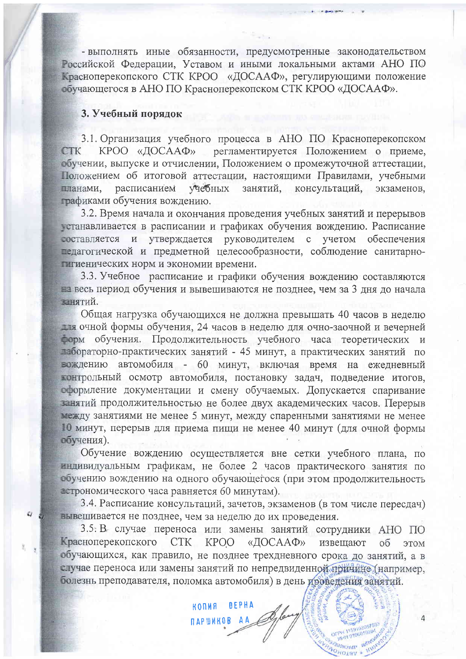- выполнять иные обязанности, предусмотренные законодательством Российской Федерации, Уставом и иными локальными актами АНО ПО Красноперекопского СТК КРОО «ДОСААФ», регулирующими положение обучающегося в АНО ПО Красноперекопском СТК КРОО «ДОСААФ».

#### 3. Учебный порядок

3.1. Организация учебного процесса в АНО ПО Красноперекопском КРОО «ДОСААФ» регламентируется Положением о приеме, **CTK** обучении, выпуске и отчислении, Положением о промежуточной аттестации, Положением об итоговой аттестации, настоящими Правилами, учебными расписанием учебных занятий, консультаций, экзаменов, шланами, графиками обучения вождению.

3.2. Время начала и окончания проведения учебных занятий и перерывов тетанавливается в расписании и графиках обучения вождению. Расписание составляется и утверждается руководителем с учетом обеспечения педагогической и предметной целесообразности, соблюдение санитарнопигиенических норм и экономии времени.

3.3. Учебное расписание и графики обучения вождению составляются на весь период обучения и вывешиваются не позднее, чем за 3 дня до начала занятий.

Общая нагрузка обучающихся не должна превышать 40 часов в неделю пля очной формы обучения, 24 часов в неделю для очно-заочной и вечерней форм обучения. Продолжительность учебного часа теоретических и пабораторно-практических занятий - 45 минут, а практических занятий по вождению автомобиля - 60 минут, включая время на ежедневный контрольный осмотр автомобиля, постановку задач, подведение итогов, оформление документации и смену обучаемых. Допускается спаривание занятий продолжительностью не более двух академических часов. Перерыв между занятиями не менее 5 минут, между спаренными занятиями не менее 10 минут, перерыв для приема пищи не менее 40 минут (для очной формы обучения).

Обучение вождению осуществляется вне сетки учебного плана, по индивидуальным графикам, не более 2 часов практического занятия по обучению вождению на одного обучающегося (при этом продолжительность астрономического часа равняется 60 минутам).

3.4. Расписание консультаций, зачетов, экзаменов (в том числе пересдач) вывешивается не позднее, чем за неделю до их проведения.

3.5. В случае переноса или замены занятий сотрудники АНО ПО Красноперекопского CTK KPOO «ДОСААФ» извешают об ЭТОМ обучающихся, как правило, не позднее трехдневного срока до занятий, а в случае переноса или замены занятий по непредвиденной причине (например, болезнь преподавателя, поломка автомобиля) в день дроведения занятий.

КОПИЯ ВЕРНА ПАРШИНОВ АА

 $\overline{4}$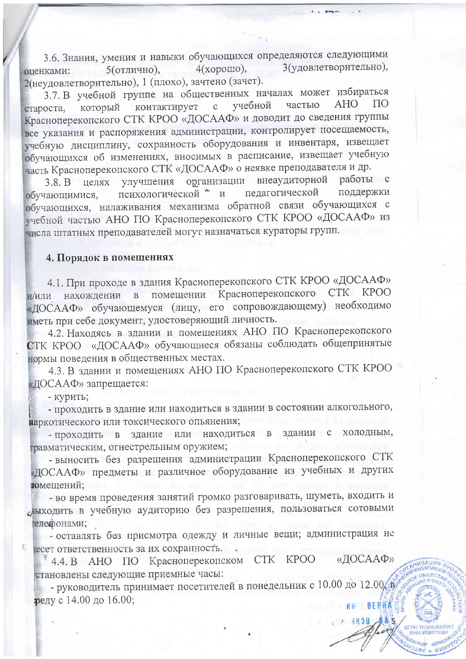3.6. Знания, умения и навыки обучающихся определяются следующими 3(удовлетворительно),  $4(xopow.$ ), 5(отлично), оценками: 2(неудовлетворительно), 1 (плохо), зачтено (зачет).

3.7. В учебной группе на общественных началах может избираться учебной частью **AHO**  $\overline{10}$ который контактирует  $\mathbf{C}$ староста. Красноперекопского СТК КРОО «ДОСААФ» и доводит до сведения группы все указания и распоряжения администрации, контролирует посещаемость, учебную дисциплину, сохранность оборудования и инвентаря, извещает обучающихся об изменениях, вносимых в расписание, извещает учебную часть Красноперекопского СТК «ДОСААФ» о неявке преподавателя и др.

3.8. В целях улучшения организации внеаудиторной работы с психологической \* и поддержки педагогической обучающимися, обучающихся, налаживания механизма обратной связи обучающихся с учебной частью АНО ПО Красноперекопского СТК КРОО «ДОСААФ» из числа штатных преподавателей могут назначаться кураторы групп.

#### 4. Порядок в помещениях

4.1. При проходе в здания Красноперекопского СТК КРОО «ДОСААФ» и/или нахождении в помещении Красноперекопского СТК КРОО «ДОСААФ» обучающемуся (лицу, его сопровождающему) необходимо иметь при себе документ, удостоверяющий личность.

4.2. Находясь в здании и помещениях АНО ПО Красноперекопского СТК КРОО «ДОСААФ» обучающиеся обязаны соблюдать общепринятые нормы поведения в общественных местах.

4.3. В здании и помещениях АНО ПО Красноперекопского СТК КРОО «ДОСААФ» запрещается:

- курить;

- проходить в здание или находиться в здании в состоянии алкогольного, наркотического или токсического опьянения;

- проходить в здание или находиться в здании с холодным, гравматическим, огнестрельным оружием;

- выносить без разрешения администрации Красноперекопского СТК ДОСААФ» предметы и различное оборудование из учебных и других помещений;

- во время проведения занятий громко разговаривать, шуметь, входить и слыходить в учебную аудиторию без разрешения, пользоваться сотовыми телефонами;

- оставлять без присмотра одежду и личные вещи; администрация не тесет ответственность за их сохранность.

CTK KPOO «ДОСААФ» <sup>3</sup> 4.4. В АНО ПО Красноперекопском становлены следующие приемные часы:

- руководитель принимает посетителей в понедельник с 10.00 до 12.00 в реду с 14.00 до 16.00; MA BERH

 $A A5$ 

 $-1K0B$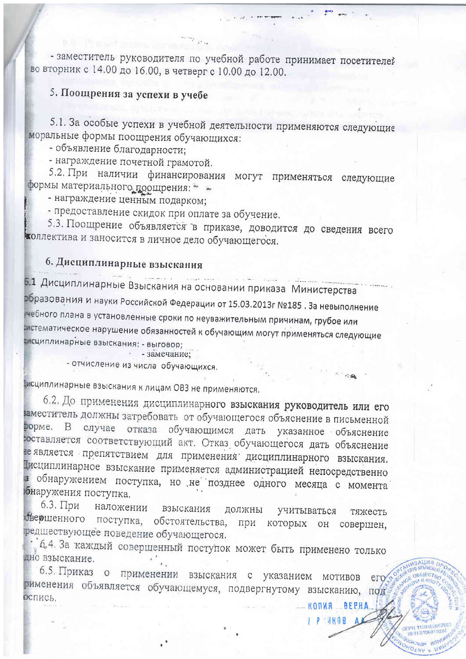- заместитель руководителя по учебной работе принимает посетителей во вторник с 14.00 до 16.00, в четверг с 10.00 до 12.00.

### 5. Поощрения за успехи в учебе

5.1. За особые успехи в учебной деятельности применяются следующие моральные формы поощрения обучающихся:

- объявление благодарности;

- награждение почетной грамотой.

5.2. При наличии финансирования могут применяться следующие формы материального поощрения: \* \*

- награждение ценным подарком;

- предоставление скидок при оплате за обучение.

5.3. Поощрение объявляется в приказе, доводится до сведения всего коллектива и заносится в личное дело обучающегося.

# 6. Дисциплинарные взыскания

5.1 Дисциплинарные Взыскания на основании приказа Министерства образования и науки Российской Федерации от 15.03.2013г №185, За невыполнение небного плана в установленные сроки по неуважительным причинам, грубое или эстематическое нарушение обязанностей к обучающим могут применяться следующие исциплинарные взыскания: - выговор;

- замечание;

- отчисление из числа обучающихся.

Е сциплинарные взыскания к лицам ОВЗ не применяются.

6.2. До применения дисциплинарного взыскания руководитель или его заместитель должны затребовать от обучающегося объяснение в письменной рорме. В случае отказа обучающимся дать указанное объяснение юставляется соответствующий акт. Отказ обучающегося дать объяснение те является препятствием для применения дисциплинарного взыскания. Писциплинарное взыскание применяется администрацией непосредственно а обнаружением поступка, но не позднее одного месяца с момента бнаружения поступка.

 $6.3.$  При наложении взыскания ДОЛЖНЫ учитываться тяжесть бвершенного поступка, обстоятельства, при которых он совершен, редшествующее поведение обучающегося.

• 6.4. За каждый совершенный поступок может быть применено только дно взыскание.

6.5. Приказ о применении взыскания с указанием мотивов ero рименения объявляется обучающемуся, подвергнутому взысканию, под оспись.  $M = K$ **BEPHA.** 

P MHOR